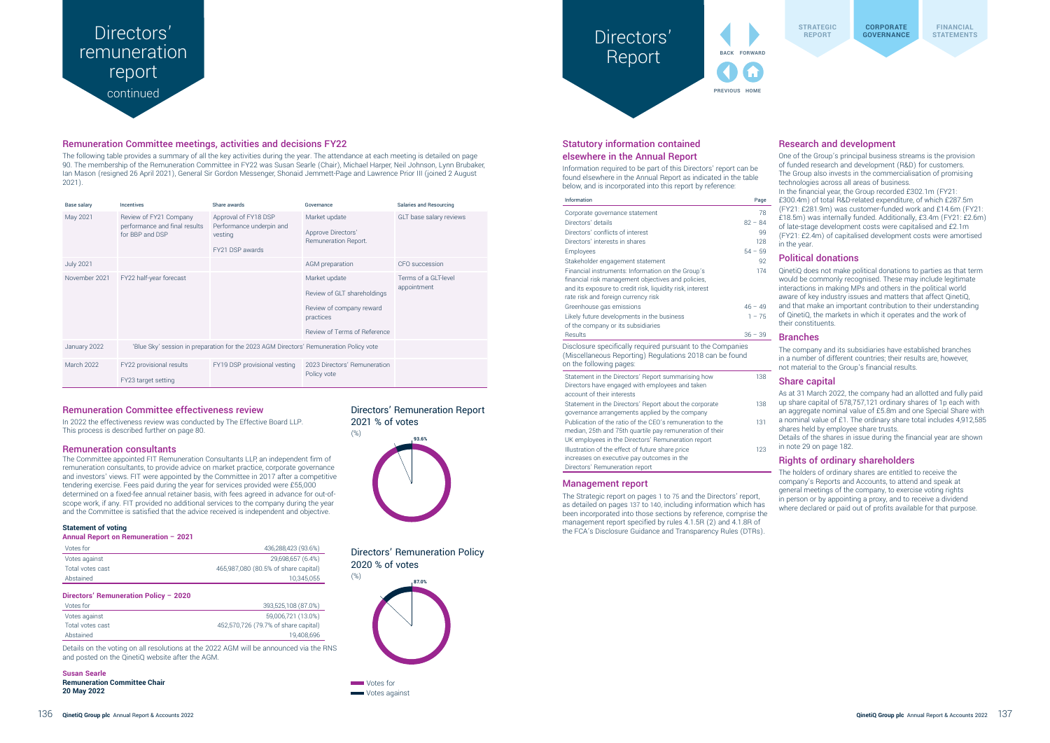## **CORPORATE CORPORATE** Directors' Report



**STRATEGIC REPORT**

## Statutory information contained elsewhere in the Annual Report

Information required to be part of this Directors' report can be found elsewhere in the Annual Report as indicated in the table below, and is incorporated into this report by reference:

| Information                                                                                                                                                                 | Page      |  |  |
|-----------------------------------------------------------------------------------------------------------------------------------------------------------------------------|-----------|--|--|
| Corporate governance statement                                                                                                                                              | 78        |  |  |
| Directors' details                                                                                                                                                          | $82 - 84$ |  |  |
| Directors' conflicts of interest                                                                                                                                            | 99        |  |  |
| Directors' interests in shares                                                                                                                                              | 128       |  |  |
| Employees                                                                                                                                                                   | $54 - 59$ |  |  |
| Stakeholder engagement statement                                                                                                                                            | 92        |  |  |
| Financial instruments: Information on the Group's                                                                                                                           | 174       |  |  |
| financial risk management objectives and policies,                                                                                                                          |           |  |  |
| and its exposure to credit risk, liquidity risk, interest                                                                                                                   |           |  |  |
| rate risk and foreign currency risk                                                                                                                                         |           |  |  |
| Greenhouse gas emissions                                                                                                                                                    | $46 - 49$ |  |  |
| Likely future developments in the business                                                                                                                                  | $1 - 75$  |  |  |
| of the company or its subsidiaries                                                                                                                                          |           |  |  |
| Results                                                                                                                                                                     | $36 - 39$ |  |  |
| Disclosure specifically required pursuant to the Companies<br>(Miscellaneous Reporting) Regulations 2018 can be found<br>on the following pages:                            |           |  |  |
| Statement in the Directors' Report summarising how<br>Directors have engaged with employees and taken<br>account of their interests                                         | 138       |  |  |
| Statement in the Directors' Report about the corporate<br>governance arrangements applied by the company                                                                    | 138       |  |  |
| Publication of the ratio of the CEO's remuneration to the<br>median, 25th and 75th quartile pay remuneration of their<br>UK employees in the Directors' Remuneration report | 131       |  |  |
| Illustration of the effect of future share price<br>increases on executive pay outcomes in the<br>Directors' Remuneration report                                            | 123       |  |  |

## Management report

The Strategic report on pages 1 to 75 and the Directors' report, as detailed on pages 137 to 140, including information which has been incorporated into those sections by reference, comprise the management report specified by rules 4.1.5R (2) and 4.1.8R of the FCA's Disclosure Guidance and Transparency Rules (DTRs).

### Research and development

One of the Group's principal business streams is the provision of funded research and development (R&D) for customers. The Group also invests in the commercialisation of promising technologies across all areas of business. In the financial year, the Group recorded £302.1m (FY21: £300.4m) of total R&D-related expenditure, of which £287.5m (FY21: £281.9m) was customer-funded work and £14.6m (FY21: £18.5m) was internally funded. Additionally, £3.4m (FY21: £2.6m) of late-stage development costs were capitalised and £2.1m (FY21: £2.4m) of capitalised development costs were amortised in the year.

#### Political donations

QinetiQ does not make political donations to parties as that term would be commonly recognised. These may include legitimate interactions in making MPs and others in the political world aware of key industry issues and matters that affect QinetiQ, and that make an important contribution to their understanding of QinetiQ, the markets in which it operates and the work of their constituents.

#### Branches

The company and its subsidiaries have established branches in a number of different countries; their results are, however, not material to the Group's financial results.

#### Share capital

As at 31 March 2022, the company had an allotted and fully paid up share capital of 578,757,121 ordinary shares of 1p each with an aggregate nominal value of £5.8m and one Special Share with a nominal value of £1. The ordinary share total includes 4,912,585 shares held by employee share trusts.

Details of the shares in issue during the financial year are shown in note 29 on page 182.

### Rights of ordinary shareholders

The holders of ordinary shares are entitled to receive the company's Reports and Accounts, to attend and speak at general meetings of the company, to exercise voting rights in person or by appointing a proxy, and to receive a dividend where declared or paid out of profits available for that purpose.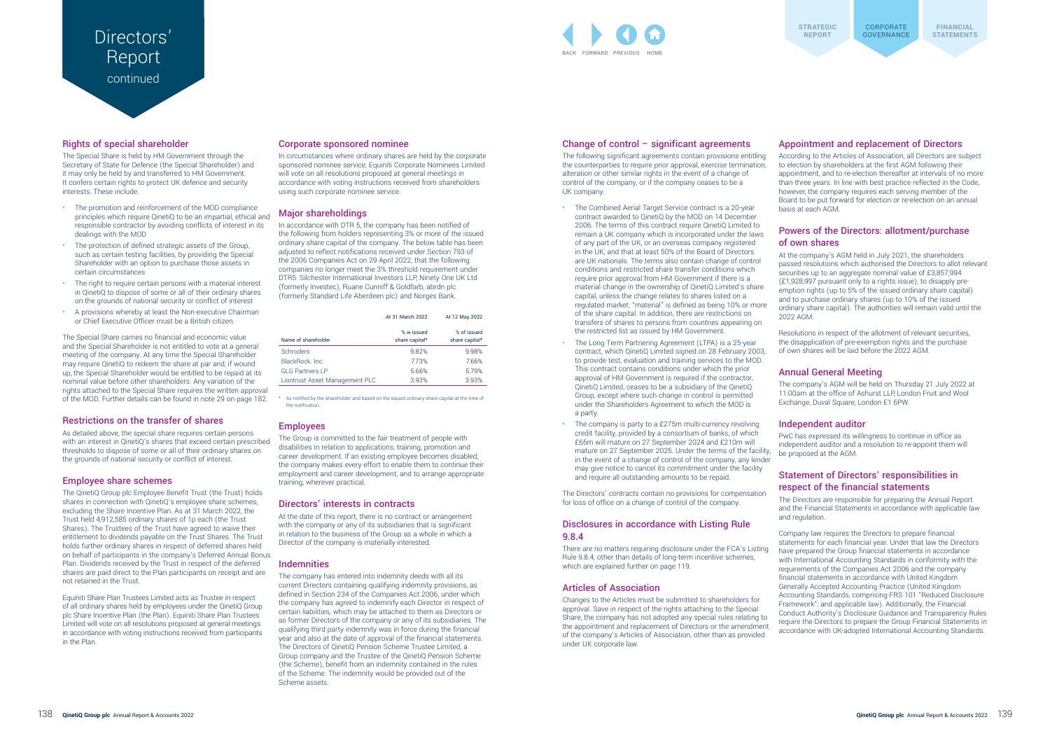### Change of control – significant agreements

The following significant agreements contain provisions entitling the counterparties to require prior approval, exercise termination, alteration or other similar rights in the event of a change of control of the company, or if the company ceases to be a UK company:

There are no matters requiring disclosure under the FCA's Listing Rule 9.8.4, other than details of long-term incentive schemes, which are explained further on page 119.

- The Combined Aerial Target Service contract is a 20-year contract awarded to QinetiQ by the MOD on 14 December 2006. The terms of this contract require QinetiQ Limited to remain a UK company which is incorporated under the laws of any part of the UK, or an overseas company registered in the UK, and that at least 50% of the Board of Directors are UK nationals. The terms also contain change of control conditions and restricted share transfer conditions which require prior approval from HM Government if there is a material change in the ownership of QinetiQ Limited's share capital, unless the change relates to shares listed on a regulated market; "material" is defined as being 10% or more of the share capital. In addition, there are restrictions on transfers of shares to persons from countries appearing on the restricted list as issued by HM Government.
- The Long Term Partnering Agreement (LTPA) is a 25-year contract, which QinetiQ Limited signed on 28 February 2003, to provide test, evaluation and training services to the MOD. This contract contains conditions under which the prior approval of HM Government is required if the contractor, QinetiQ Limited, ceases to be a subsidiary of the QinetiQ Group, except where such change in control is permitted under the Shareholders Agreement to which the MOD is a party.
- The company is party to a £275m multi-currency revolving credit facility, provided by a consortium of banks, of which £65m will mature on 27 September 2024 and £210m will mature on 27 September 2025. Under the terms of the facility, in the event of a change of control of the company, any lender may give notice to cancel its commitment under the facility and require all outstanding amounts to be repaid.

The Directors' contracts contain no provisions for compensation for loss of office on a change of control of the company.

#### Disclosures in accordance with Listing Rule 9.8.4

#### Articles of Association

## **Directors** Report continued

Changes to the Articles must be submitted to shareholders for approval. Save in respect of the rights attaching to the Special Share, the company has not adopted any special rules relating to the appointment and replacement of Directors or the amendment of the company's Articles of Association, other than as provided under UK corporate law.

#### Appointment and replacement of Directors

According to the Articles of Association, all Directors are subject to election by shareholders at the first AGM following their appointment, and to re-election thereafter at intervals of no more than three years. In line with best practice reflected in the Code, however, the company requires each serving member of the Board to be put forward for election or re-election on an annual basis at each AGM.

- The promotion and reinforcement of the MOD compliance principles which require QinetiQ to be an impartial, ethical and responsible contractor by avoiding conflicts of interest in its dealings with the MOD
- The protection of defined strategic assets of the Group. such as certain testing facilities, by providing the Special Shareholder with an option to purchase those assets in certain circumstances
- The right to require certain persons with a material interest in QinetiQ to dispose of some or all of their ordinary shares on the grounds of national security or conflict of interest
- A provisions whereby at least the Non-executive Chairman or Chief Executive Officer must be a British citizen.

### Powers of the Directors: allotment/purchase of own shares

At the company's AGM held in July 2021, the shareholders passed resolutions which authorised the Directors to allot relevant securities up to an aggregate nominal value of £3,857,994 (£1,928,997 pursuant only to a rights issue), to disapply preemption rights (up to 5% of the issued ordinary share capital) and to purchase ordinary shares (up to 10% of the issued ordinary share capital). The authorities will remain valid until the 2022 AGM.

Resolutions in respect of the allotment of relevant securities, the disapplication of pre-exemption rights and the purchase of own shares will be laid before the 2022 AGM.

#### Annual General Meeting

The company's AGM will be held on Thursday 21 July 2022 at 11:00am at the office of Ashurst LLP, London Fruit and Wool Exchange, Duval Square, London E1 6PW.

Independent auditor PwC has expressed its willingness to continue in office as independent auditor and a resolution to re-appoint them will be proposed at the AGM.

## Statement of Directors' responsibilities in respect of the financial statements

The Directors are responsible for preparing the Annual Report and the Financial Statements in accordance with applicable law and regulation.

\* As notified by the shareholder and based on the issued ordinary share capital at the time of the notification

> Company law requires the Directors to prepare financial statements for each financial year. Under that law the Directors have prepared the Group financial statements in accordance with International Accounting Standards in conformity with the requirements of the Companies Act 2006 and the company financial statements in accordance with United Kingdom Generally Accepted Accounting Practice (United Kingdom Accounting Standards, comprising FRS 101 "Reduced Disclosure Framework", and applicable law). Additionally, the Financial Conduct Authority's Disclosure Guidance and Transparency Rules require the Directors to prepare the Group Financial Statements in accordance with UK-adopted International Accounting Standards.

#### Rights of special shareholder

The Special Share is held by HM Government through the Secretary of State for Defence (the Special Shareholder) and it may only be held by and transferred to HM Government. It confers certain rights to protect UK defence and security interests. These include:

The Special Share carries no financial and economic value and the Special Shareholder is not entitled to vote at a general meeting of the company. At any time the Special Shareholder may require QinetiQ to redeem the share at par and, if wound up, the Special Shareholder would be entitled to be repaid at its nominal value before other shareholders. Any variation of the rights attached to the Special Share requires the written approval of the MOD. Further details can be found in note 29 on page 182.

#### Restrictions on the transfer of shares

As detailed above, the special share requires certain persons with an interest in QinetiQ's shares that exceed certain prescribed thresholds to dispose of some or all of their ordinary shares on the grounds of national security or conflict of interest.

#### Employee share schemes

The QinetiQ Group plc Employee Benefit Trust (the Trust) holds shares in connection with QinetiQ's employee share schemes, excluding the Share Incentive Plan. As at 31 March 2022, the Trust held 4,912,585 ordinary shares of 1p each (the Trust Shares). The Trustees of the Trust have agreed to waive their entitlement to dividends payable on the Trust Shares. The Trust holds further ordinary shares in respect of deferred shares held on behalf of participants in the company's Deferred Annual Bonus Plan. Dividends received by the Trust in respect of the deferred shares are paid direct to the Plan participants on receipt and are not retained in the Trust.

Equiniti Share Plan Trustees Limited acts as Trustee in respect of all ordinary shares held by employees under the QinetiQ Group plc Share Incentive Plan (the Plan). Equiniti Share Plan Trustees Limited will vote on all resolutions proposed at general meetings in accordance with voting instructions received from participants in the Plan.

#### Corporate sponsored nominee

In circumstances where ordinary shares are held by the corporate sponsored nominee service, Equiniti Corporate Nominees Limited will vote on all resolutions proposed at general meetings in accordance with voting instructions received from shareholders using such corporate nominee service.

#### Major shareholdings

In accordance with DTR 5, the company has been notified of the following from holders representing 3% or more of the issued ordinary share capital of the company. The below table has been adjusted to reflect notifications received under Section 793 of the 2006 Companies Act on 29 April 2022, that the following companies no longer meet the 3% threshold requirement under DTR5: Silchester International Investors LLP, Ninety One UK Ltd (formerly Investec), Ruane Cunniff & Goldfarb, abrdn plc (formerly Standard Life Aberdeen plc) and Norges Bank.

|                                | At 31 March 2022             | At 12 May 2022                |
|--------------------------------|------------------------------|-------------------------------|
| Name of shareholder            | % w issued<br>share capital* | % of issued<br>share capital* |
| Schroders                      | 9.82%                        | 9.98%                         |
| BlackRock, Inc.                | 7.73%                        | 7.66%                         |
| <b>GLG Partners LP</b>         | 5.66%                        | 5.79%                         |
| Liontrust Asset Management PLC | 3.93%                        | 3.93%                         |

#### Employees

The Group is committed to the fair treatment of people with disabilities in relation to applications, training, promotion and career development. If an existing employee becomes disabled, the company makes every effort to enable them to continue their employment and career development, and to arrange appropriate training, wherever practical.

#### Directors' interests in contracts

At the date of this report, there is no contract or arrangement with the company or any of its subsidiaries that is significant in relation to the business of the Group as a whole in which a Director of the company is materially interested.

#### Indemnities

The company has entered into indemnity deeds with all its current Directors containing qualifying indemnity provisions, as defined in Section 234 of the Companies Act 2006, under which the company has agreed to indemnify each Director in respect of certain liabilities, which may be attached to them as Directors or as former Directors of the company or any of its subsidiaries. The qualifying third party indemnity was in force during the financial year and also at the date of approval of the financial statements. The Directors of QinetiQ Pension Scheme Trustee Limited, a Group company and the Trustee of the QinetiQ Pension Scheme (the Scheme), benefit from an indemnity contained in the rules of the Scheme. The indemnity would be provided out of the Scheme assets.

BACK FORWARD PREVIOUS HOME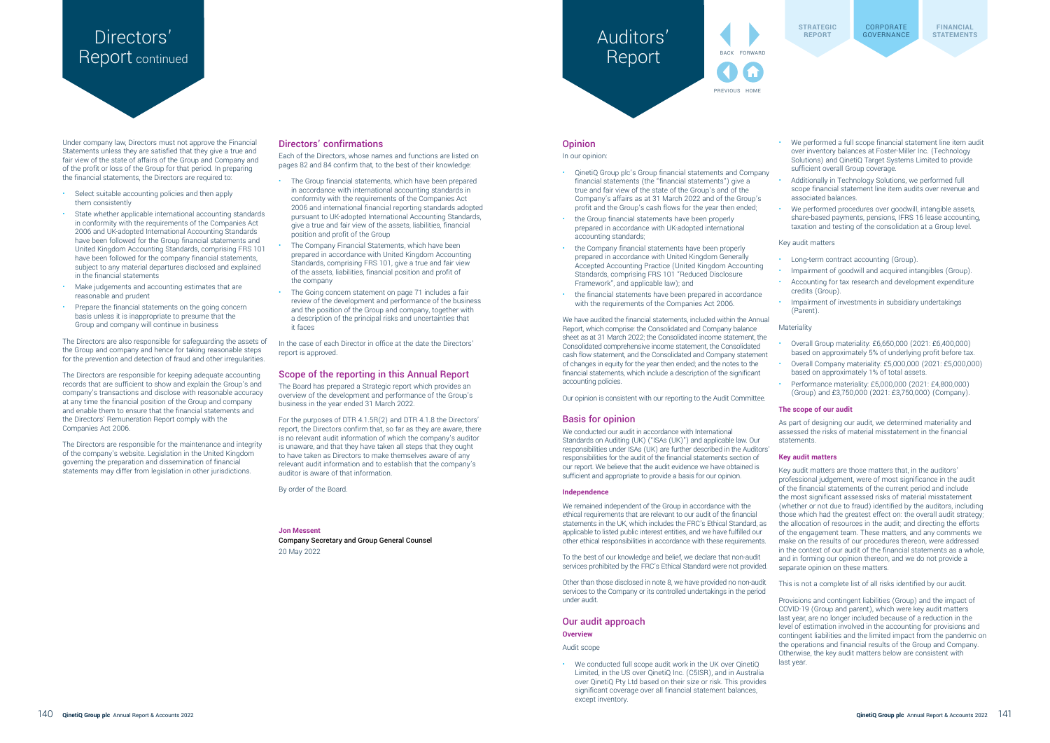Under company law, Directors must not approve the Financial Statements unless they are satisfied that they give a true and fair view of the state of affairs of the Group and Company and of the profit or loss of the Group for that period. In preparing the financial statements, the Directors are required to:

- Select suitable accounting policies and then apply them consistently
- State whether applicable international accounting standards in conformity with the requirements of the Companies Act 2006 and UK-adopted International Accounting Standards have been followed for the Group financial statements and United Kingdom Accounting Standards, comprising FRS 101 have been followed for the company financial statements, subject to any material departures disclosed and explained in the financial statements
- Make judgements and accounting estimates that are reasonable and prudent
- Prepare the financial statements on the going concern basis unless it is inappropriate to presume that the Group and company will continue in business

The Directors are also responsible for safeguarding the assets of the Group and company and hence for taking reasonable steps for the prevention and detection of fraud and other irregularities.

The Directors are responsible for keeping adequate accounting records that are sufficient to show and explain the Group's and company's transactions and disclose with reasonable accuracy at any time the financial position of the Group and company and enable them to ensure that the financial statements and the Directors' Remuneration Report comply with the Companies Act 2006.

The Directors are responsible for the maintenance and integrity of the company's website. Legislation in the United Kingdom governing the preparation and dissemination of financial statements may differ from legislation in other jurisdictions.

### Directors' confirmations

Each of the Directors, whose names and functions are listed on pages 82 and 84 confirm that, to the best of their knowledge:

- The Group financial statements, which have been prepared in accordance with international accounting standards in conformity with the requirements of the Companies Act 2006 and international financial reporting standards adopted pursuant to UK-adopted International Accounting Standards, give a true and fair view of the assets, liabilities, financial position and profit of the Group
- The Company Financial Statements, which have been prepared in accordance with United Kingdom Accounting Standards, comprising FRS 101, give a true and fair view of the assets, liabilities, financial position and profit of the company
- The Going concern statement on page 71 includes a fair review of the development and performance of the business and the position of the Group and company, together with a description of the principal risks and uncertainties that it faces

In the case of each Director in office at the date the Directors' report is approved.

#### Scope of the reporting in this Annual Report

The Board has prepared a Strategic report which provides an overview of the development and performance of the Group's business in the year ended 31 March 2022.

For the purposes of DTR 4.1.5R(2) and DTR 4.1.8 the Directors' report, the Directors confirm that, so far as they are aware, there is no relevant audit information of which the company's auditor is unaware, and that they have taken all steps that they ought to have taken as Directors to make themselves aware of any relevant audit information and to establish that the company's auditor is aware of that information.

By order of the Board.

#### **Jon Messent**

Company Secretary and Group General Counsel 20 May 2022

## **Opinion**

Auditors'

Report

In our opinion:

As part of designing our audit, we determined materiality and assessed the risks of material misstatement in the financial statements.

Key audit matters are those matters that, in the auditors' professional judgement, were of most significance in the audit of the financial statements of the current period and include the most significant assessed risks of material misstatement (whether or not due to fraud) identified by the auditors, including those which had the greatest effect on: the overall audit strategy; the allocation of resources in the audit; and directing the efforts of the engagement team. These matters, and any comments we make on the results of our procedures thereon, were addressed in the context of our audit of the financial statements as a whole, and in forming our opinion thereon, and we do not provide a separate opinion on these matters.

- QinetiQ Group plc's Group financial statements and Company financial statements (the "financial statements") give a true and fair view of the state of the Group's and of the Company's affairs as at 31 March 2022 and of the Group's profit and the Group's cash flows for the year then ended;
- the Group financial statements have been properly prepared in accordance with UK-adopted international accounting standards;

Provisions and contingent liabilities (Group) and the impact of COVID-19 (Group and parent), which were key audit matters last year, are no longer included because of a reduction in the level of estimation involved in the accounting for provisions and contingent liabilities and the limited impact from the pandemic on the operations and financial results of the Group and Company. Otherwise, the key audit matters below are consistent with last year

- the Company financial statements have been properly prepared in accordance with United Kingdom Generally Accepted Accounting Practice (United Kingdom Accounting Standards, comprising FRS 101 "Reduced Disclosure Framework", and applicable law); and
- the financial statements have been prepared in accordance with the requirements of the Companies Act 2006.

# Directors' Report COVERNANCE Report continued

BACK FORWARD PREVIOUS HOME

We have audited the financial statements, included within the Annual Report, which comprise: the Consolidated and Company balance sheet as at 31 March 2022; the Consolidated income statement, the Consolidated comprehensive income statement, the Consolidated cash flow statement, and the Consolidated and Company statement of changes in equity for the year then ended; and the notes to the financial statements, which include a description of the significant accounting policies.

Our opinion is consistent with our reporting to the Audit Committee.

#### Basis for opinion

We conducted our audit in accordance with International Standards on Auditing (UK) ("ISAs (UK)") and applicable law. Our responsibilities under ISAs (UK) are further described in the Auditors' responsibilities for the audit of the financial statements section of our report. We believe that the audit evidence we have obtained is sufficient and appropriate to provide a basis for our opinion.

#### **Independence**

We remained independent of the Group in accordance with the ethical requirements that are relevant to our audit of the financial statements in the UK, which includes the FRC's Ethical Standard, as applicable to listed public interest entities, and we have fulfilled our other ethical responsibilities in accordance with these requirements.

To the best of our knowledge and belief, we declare that non-audit services prohibited by the FRC's Ethical Standard were not provided.

Other than those disclosed in note 8, we have provided no non-audit services to the Company or its controlled undertakings in the period under audit.

Our audit approach

#### **Overview**

Audit scope

• We conducted full scope audit work in the UK over QinetiQ Limited, in the US over QinetiQ Inc. (C5ISR), and in Australia over QinetiQ Pty Ltd based on their size or risk. This provides significant coverage over all financial statement balances, except inventory.

- We performed a full scope financial statement line item audit over inventory balances at Foster-Miller Inc. (Technology Solutions) and QinetiQ Target Systems Limited to provide sufficient overall Group coverage.
- Additionally in Technology Solutions, we performed full scope financial statement line item audits over revenue and associated balances.
- We performed procedures over goodwill, intangible assets, share-based payments, pensions, IFRS 16 lease accounting, taxation and testing of the consolidation at a Group level.
- Key audit matters
- Long-term contract accounting (Group).
- Impairment of goodwill and acquired intangibles (Group).
- Accounting for tax research and development expenditure credits (Group).
- Impairment of investments in subsidiary undertakings (Parent).
- **Materiality** 
	- Overall Group materiality: £6,650,000 (2021: £6,400,000) based on approximately 5% of underlying profit before tax.
	- Overall Company materiality: £5,000,000 (2021: £5,000,000) based on approximately 1% of total assets.
	- Performance materiality: £5,000,000 (2021: £4,800,000) (Group) and £3,750,000 (2021: £3,750,000) (Company).

#### **The scope of our audit**

#### **Key audit matters**

This is not a complete list of all risks identified by our audit.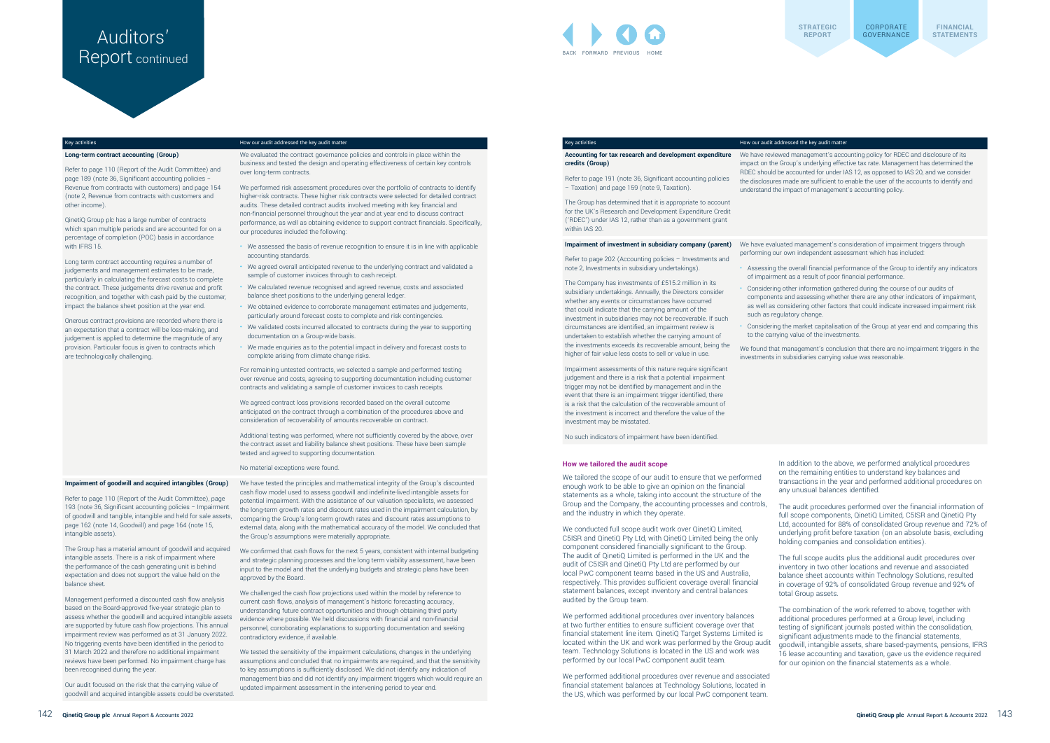#### Key activities How our audit addressed the key audit matter

**Long-term contract accounting (Group)** 

Refer to page 110 (Report of the Audit Committee) and page 189 (note 36, Significant accounting policies − Revenue from contracts with customers) and page 154 (note 2, Revenue from contracts with customers and other income).

QinetiQ Group plc has a large number of contracts which span multiple periods and are accounted for on a percentage of completion (POC) basis in accordance with IFRS 15.

We evaluated the contract governance policies and controls in place within the business and tested the design and operating effectiveness of certain key controls over long-term contracts.

Long term contract accounting requires a number of judgements and management estimates to be made, particularly in calculating the forecast costs to complete the contract. These judgements drive revenue and profit recognition, and together with cash paid by the customer, impact the balance sheet position at the year end.

Onerous contract provisions are recorded where there is an expectation that a contract will be loss-making, and judgement is applied to determine the magnitude of any provision. Particular focus is given to contracts which are technologically challenging.

We performed risk assessment procedures over the portfolio of contracts to identify higher-risk contracts. These higher risk contracts were selected for detailed contract audits. These detailed contract audits involved meeting with key financial and non-financial personnel throughout the year and at year end to discuss contract performance, as well as obtaining evidence to support contract financials. Specifically, our procedures included the following:

- We assessed the basis of revenue recognition to ensure it is in line with applicable accounting standards.
- We agreed overall anticipated revenue to the underlying contract and validated a sample of customer invoices through to cash receipt.
- We calculated revenue recognised and agreed revenue, costs and associated balance sheet positions to the underlying general ledger.
- We obtained evidence to corroborate management estimates and judgements, particularly around forecast costs to complete and risk contingencies.
- We validated costs incurred allocated to contracts during the year to supporting documentation on a Group-wide basis.
- We made enquiries as to the potential impact in delivery and forecast costs to complete arising from climate change risks.

For remaining untested contracts, we selected a sample and performed testing over revenue and costs, agreeing to supporting documentation including customer contracts and validating a sample of customer invoices to cash receipts.

We agreed contract loss provisions recorded based on the overall outcome anticipated on the contract through a combination of the procedures above and consideration of recoverability of amounts recoverable on contract.

Additional testing was performed, where not sufficiently covered by the above, over the contract asset and liability balance sheet positions. These have been sample tested and agreed to supporting documentation.

No material exceptions were found.

#### **Impairment of goodwill and acquired intangibles (Group)**

We have reviewed management's accounting policy for RDEC and disclosure of its impact on the Group's underlying effective tax rate. Management has determined the RDEC should be accounted for under IAS 12, as opposed to IAS 20, and we consider the disclosures made are sufficient to enable the user of the accounts to identify and understand the impact of management's accounting policy.

Refer to page 110 (Report of the Audit Committee), page 193 (note 36, Significant accounting policies − Impairment of goodwill and tangible, intangible and held for sale assets, page 162 (note 14, Goodwill) and page 164 (note 15, intangible assets).

The Company has investments of £515.2 million in its subsidiary undertakings. Annually, the Directors consider whether any events or circumstances have occurred that could indicate that the carrying amount of the investment in subsidiaries may not be recoverable. If such circumstances are identified, an impairment review is undertaken to establish whether the carrying amount of the investments exceeds its recoverable amount, being the higher of fair value less costs to sell or value in use.

The Group has a material amount of goodwill and acquired intangible assets. There is a risk of impairment where the performance of the cash generating unit is behind expectation and does not support the value held on the balance sheet.

Management performed a discounted cash flow analysis based on the Board-approved five-year strategic plan to assess whether the goodwill and acquired intangible assets are supported by future cash flow projections. This annual impairment review was performed as at 31 January 2022. No triggering events have been identified in the period to 31 March 2022 and therefore no additional impairment reviews have been performed. No impairment charge has been recognised during the year.

Our audit focused on the risk that the carrying value of goodwill and acquired intangible assets could be overstated.

We have tested the principles and mathematical integrity of the Group's discounted cash flow model used to assess goodwill and indefinite-lived intangible assets for potential impairment. With the assistance of our valuation specialists, we assessed the long-term growth rates and discount rates used in the impairment calculation, by comparing the Group's long-term growth rates and discount rates assumptions to external data, along with the mathematical accuracy of the model. We concluded that the Group's assumptions were materially appropriate.

We confirmed that cash flows for the next 5 years, consistent with internal budgeting and strategic planning processes and the long term viability assessment, have been input to the model and that the underlying budgets and strategic plans have been approved by the Board.

We challenged the cash flow projections used within the model by reference to current cash flows, analysis of management's historic forecasting accuracy, understanding future contract opportunities and through obtaining third party evidence where possible. We held discussions with financial and non-financial personnel, corroborating explanations to supporting documentation and seeking contradictory evidence, if available.

# Report continued



We tested the sensitivity of the impairment calculations, changes in the underlying assumptions and concluded that no impairments are required, and that the sensitivity to key assumptions is sufficiently disclosed. We did not identify any indication of management bias and did not identify any impairment triggers which would require an updated impairment assessment in the intervening period to year end.

#### Key activities How our audit addressed the key audit matter

#### **Accounting for tax research and development expenditure credits (Group)**

Refer to page 191 (note 36, Significant accounting policies – Taxation) and page 159 (note 9, Taxation).

The Group has determined that it is appropriate to account for the UK's Research and Development Expenditure Credit ('RDEC') under IAS 12, rather than as a government grant within IAS 20.

#### **Impairment of investment in subsidiary company (parent)**

Refer to page 202 (Accounting policies – Investments and note 2, Investments in subsidiary undertakings).

Impairment assessments of this nature require significant judgement and there is a risk that a potential impairment trigger may not be identified by management and in the event that there is an impairment trigger identified, there is a risk that the calculation of the recoverable amount of the investment is incorrect and therefore the value of the investment may be misstated.

No such indicators of impairment have been identified.

We have evaluated management's consideration of impairment triggers through performing our own independent assessment which has included:

• Assessing the overall financial performance of the Group to identify any indicators of impairment as a result of poor financial performance.

• Considering other information gathered during the course of our audits of components and assessing whether there are any other indicators of impairment, as well as considering other factors that could indicate increased impairment risk such as regulatory change.

• Considering the market capitalisation of the Group at year end and comparing this to the carrying value of the investments.

We found that management's conclusion that there are no impairment triggers in the investments in subsidiaries carrying value was reasonable.

#### **How we tailored the audit scope**

We tailored the scope of our audit to ensure that we performed enough work to be able to give an opinion on the financial statements as a whole, taking into account the structure of the Group and the Company, the accounting processes and controls, and the industry in which they operate.

We conducted full scope audit work over QinetiQ Limited, C5ISR and QinetiQ Pty Ltd, with QinetiQ Limited being the only component considered financially significant to the Group. The audit of QinetiQ Limited is performed in the UK and the audit of C5ISR and QinetiQ Pty Ltd are performed by our local PwC component teams based in the US and Australia, respectively. This provides sufficient coverage overall financial statement balances, except inventory and central balances audited by the Group team.

We performed additional procedures over inventory balances at two further entities to ensure sufficient coverage over that financial statement line item. QinetiQ Target Systems Limited is located within the UK and work was performed by the Group audit team. Technology Solutions is located in the US and work was performed by our local PwC component audit team.

We performed additional procedures over revenue and associated financial statement balances at Technology Solutions, located in the US, which was performed by our local PwC component team.

In addition to the above, we performed analytical procedures on the remaining entities to understand key balances and transactions in the year and performed additional procedures on any unusual balances identified. The audit procedures performed over the financial information of full scope components, QinetiQ Limited, C5ISR and QinetiQ Pty

Ltd, accounted for 88% of consolidated Group revenue and 72% of underlying profit before taxation (on an absolute basis, excluding holding companies and consolidation entities).

The full scope audits plus the additional audit procedures over inventory in two other locations and revenue and associated balance sheet accounts within Technology Solutions, resulted in coverage of 92% of consolidated Group revenue and 92% of total Group assets. The combination of the work referred to above, together with

additional procedures performed at a Group level, including testing of significant journals posted within the consolidation, significant adjustments made to the financial statements, goodwill, intangible assets, share based-payments, pensions, IFRS 16 lease accounting and taxation, gave us the evidence required for our opinion on the financial statements as a whole.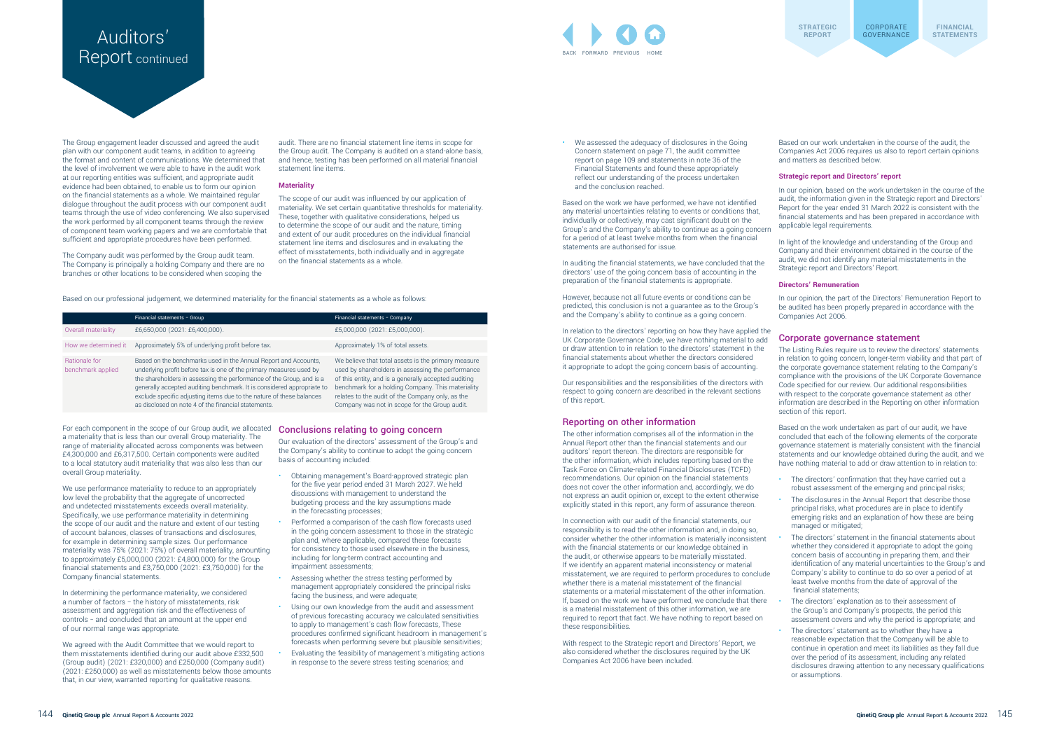# Report continued

audit. There are no financial statement line items in scope for the Group audit. The Company is audited on a stand-alone basis, and hence, testing has been performed on all material financial statement line items.

The Group engagement leader discussed and agreed the audit plan with our component audit teams, in addition to agreeing the format and content of communications. We determined that the level of involvement we were able to have in the audit work at our reporting entities was sufficient, and appropriate audit evidence had been obtained, to enable us to form our opinion on the financial statements as a whole. We maintained regular dialogue throughout the audit process with our component audit teams through the use of video conferencing. We also supervised the work performed by all component teams through the review of component team working papers and we are comfortable that sufficient and appropriate procedures have been performed.

The Company audit was performed by the Group audit team. The Company is principally a holding Company and there are no branches or other locations to be considered when scoping the

#### **Materiality**

The scope of our audit was influenced by our application of materiality. We set certain quantitative thresholds for materiality. These, together with qualitative considerations, helped us to determine the scope of our audit and the nature, timing and extent of our audit procedures on the individual financial statement line items and disclosures and in evaluating the effect of misstatements, both individually and in aggregate on the financial statements as a whole.

Based on our professional judgement, we determined materiality for the financial statements as a whole as follows:

|                                           | Financial statements - Group                                                                                                                                                                                                                                                                                                                                                                                            | Financial statements - Company                                                                                                                                                                                                                                                                                             |
|-------------------------------------------|-------------------------------------------------------------------------------------------------------------------------------------------------------------------------------------------------------------------------------------------------------------------------------------------------------------------------------------------------------------------------------------------------------------------------|----------------------------------------------------------------------------------------------------------------------------------------------------------------------------------------------------------------------------------------------------------------------------------------------------------------------------|
| Overall materiality                       | £6,650,000 (2021: £6,400,000).                                                                                                                                                                                                                                                                                                                                                                                          | £5,000,000 (2021: £5,000,000).                                                                                                                                                                                                                                                                                             |
| How we determined it                      | Approximately 5% of underlying profit before tax.                                                                                                                                                                                                                                                                                                                                                                       | Approximately 1% of total assets.                                                                                                                                                                                                                                                                                          |
| <b>Rationale for</b><br>benchmark applied | Based on the benchmarks used in the Annual Report and Accounts,<br>underlying profit before tax is one of the primary measures used by<br>the shareholders in assessing the performance of the Group, and is a<br>generally accepted auditing benchmark. It is considered appropriate to<br>exclude specific adjusting items due to the nature of these balances<br>as disclosed on note 4 of the financial statements. | We believe that total assets is the primary measure<br>used by shareholders in assessing the performance<br>of this entity, and is a generally accepted auditing<br>benchmark for a holding Company. This materiality<br>relates to the audit of the Company only, as the<br>Company was not in scope for the Group audit. |

For each component in the scope of our Group audit, we allocated a materiality that is less than our overall Group materiality. The range of materiality allocated across components was between £4,300,000 and £6,317,500. Certain components were audited to a local statutory audit materiality that was also less than our overall Group materiality.

We use performance materiality to reduce to an appropriately low level the probability that the aggregate of uncorrected and undetected misstatements exceeds overall materiality. Specifically, we use performance materiality in determining the scope of our audit and the nature and extent of our testing of account balances, classes of transactions and disclosures, for example in determining sample sizes. Our performance materiality was 75% (2021: 75%) of overall materiality, amounting to approximately £5,000,000 (2021: £4,800,000) for the Group financial statements and £3,750,000 (2021: £3,750,000) for the Company financial statements.

In determining the performance materiality, we considered a number of factors − the history of misstatements, risk assessment and aggregation risk and the effectiveness of controls − and concluded that an amount at the upper end of our normal range was appropriate.

We agreed with the Audit Committee that we would report to them misstatements identified during our audit above £332,500 (Group audit) (2021: £320,000) and £250,000 (Company audit) (2021: £250,000) as well as misstatements below those amounts that, in our view, warranted reporting for qualitative reasons.

Based on our work undertaken in the course of the audit, the Companies Act 2006 requires us also to report certain opinions and matters as described below.

#### Conclusions relating to going concern

Our evaluation of the directors' assessment of the Group's and the Company's ability to continue to adopt the going concern basis of accounting included:

- Obtaining management's Board-approved strategic plan for the five year period ended 31 March 2027. We held discussions with management to understand the budgeting process and the key assumptions made in the forecasting processes;
- Performed a comparison of the cash flow forecasts used in the going concern assessment to those in the strategic plan and, where applicable, compared these forecasts for consistency to those used elsewhere in the business, including for long-term contract accounting and impairment assessments;
- Assessing whether the stress testing performed by management appropriately considered the principal risks facing the business, and were adequate;
- Using our own knowledge from the audit and assessment of previous forecasting accuracy we calculated sensitivities to apply to management's cash flow forecasts, These procedures confirmed significant headroom in management's forecasts when performing severe but plausible sensitivities;
- Evaluating the feasibility of management's mitigating actions in response to the severe stress testing scenarios; and

The directors' explanation as to their assessment of the Group's and Company's prospects, the period this assessment covers and why the period is appropriate; and

The directors' statement as to whether they have a reasonable expectation that the Company will be able to continue in operation and meet its liabilities as they fall due over the period of its assessment, including any related disclosures drawing attention to any necessary qualifications or assumptions.



• We assessed the adequacy of disclosures in the Going Concern statement [on page 71,](#page--1-0) the audit committee report [on page 109](#page--1-0) and statements in note 36 of the Financial Statements and found these appropriately reflect our understanding of the process undertaken and the conclusion reached.

Based on the work we have performed, we have not identified any material uncertainties relating to events or conditions that individually or collectively, may cast significant doubt on the Group's and the Company's ability to continue as a going concern for a period of at least twelve months from when the financial statements are authorised for issue.

In auditing the financial statements, we have concluded that the directors' use of the going concern basis of accounting in the preparation of the financial statements is appropriate.

However, because not all future events or conditions can be predicted, this conclusion is not a guarantee as to the Group's and the Company's ability to continue as a going concern.

In relation to the directors' reporting on how they have applied the UK Corporate Governance Code, we have nothing material to add or draw attention to in relation to the directors' statement in the financial statements about whether the directors considered it appropriate to adopt the going concern basis of accounting.

Our responsibilities and the responsibilities of the directors with respect to going concern are described in the relevant sections of this report.

#### Reporting on other information

The other information comprises all of the information in the Annual Report other than the financial statements and our auditors' report thereon. The directors are responsible for the other information, which includes reporting based on the Task Force on Climate-related Financial Disclosures (TCFD) recommendations. Our opinion on the financial statements does not cover the other information and, accordingly, we do not express an audit opinion or, except to the extent otherwise explicitly stated in this report, any form of assurance thereon.

In connection with our audit of the financial statements, our responsibility is to read the other information and, in doing so, consider whether the other information is materially inconsistent with the financial statements or our knowledge obtained in the audit, or otherwise appears to be materially misstated. If we identify an apparent material inconsistency or material misstatement, we are required to perform procedures to conclude whether there is a material misstatement of the financial statements or a material misstatement of the other information. If, based on the work we have performed, we conclude that there is a material misstatement of this other information, we are required to report that fact. We have nothing to report based on these responsibilities.

With respect to the Strategic report and Directors' Report, we also considered whether the disclosures required by the UK Companies Act 2006 have been included.

## **Strategic report and Directors' report**

In our opinion, based on the work undertaken in the course of the audit, the information given in the Strategic report and Directors' Report for the year ended 31 March 2022 is consistent with the financial statements and has been prepared in accordance with applicable legal requirements.

In light of the knowledge and understanding of the Group and Company and their environment obtained in the course of the audit, we did not identify any material misstatements in the Strategic report and Directors' Report.

#### **Directors' Remuneration**

In our opinion, the part of the Directors' Remuneration Report to be audited has been properly prepared in accordance with the Companies Act 2006.

Corporate governance statement The Listing Rules require us to review the directors' statements in relation to going concern, longer-term viability and that part of the corporate governance statement relating to the Company's compliance with the provisions of the UK Corporate Governance Code specified for our review. Our additional responsibilities with respect to the corporate governance statement as other information are described in the Reporting on other information section of this report.

Based on the work undertaken as part of our audit, we have concluded that each of the following elements of the corporate governance statement is materially consistent with the financial statements and our knowledge obtained during the audit, and we have nothing material to add or draw attention to in relation to:

• The directors' confirmation that they have carried out a robust assessment of the emerging and principal risks; • The disclosures in the Annual Report that describe those principal risks, what procedures are in place to identify emerging risks and an explanation of how these are being managed or mitigated;

• The directors' statement in the financial statements about whether they considered it appropriate to adopt the going concern basis of accounting in preparing them, and their identification of any material uncertainties to the Group's and Company's ability to continue to do so over a period of at least twelve months from the date of approval of the financial statements;